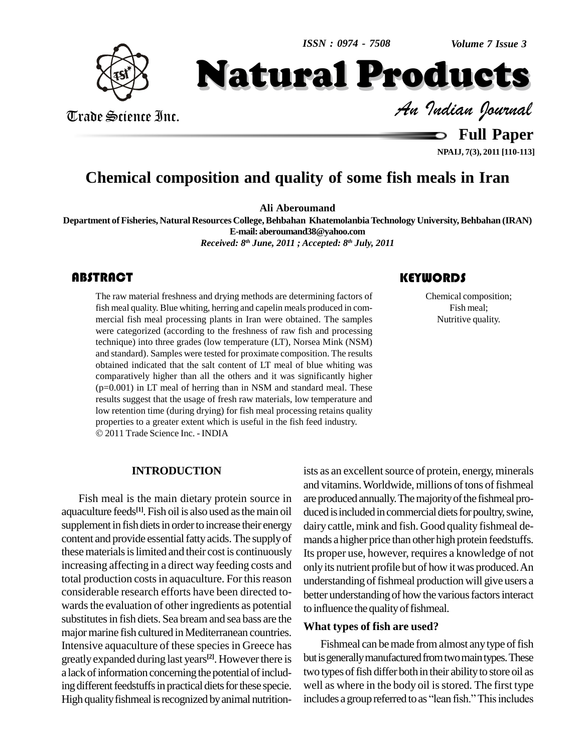*Volume 7 Issue 3*



Trade Science Inc. Trade Science Inc. *Indian Journal*

Natural Products

**Full Paper**

**NPAIJ, 7(3), 2011 [110-113]**

## **Chemical composition and quality of some fish meals in Iran**

**Ali Aberoumand**

**Department ofFisheries, Natural Resources College,Behbahan KhatemolanbiaTechnology University,Behbahan (IRAN) E-mail:[aberoumand38@yahoo.com](mailto:aberoumand38@yahoo.com)**

*Received: 8 th June, 2011 ; Accepted: 8 th July, 2011*

### **ABSTRACT**

The raw material freshness and drying methods are determining factors of<br>
fish meal quality. Blue whiting, herring and capelin meals produced in com-<br>
mercial fish meal processing plants in Iran were obtained. The samples The raw material freshness and drying methods are determining factors of fish meal quality. Blue whiting, herring and capelin meals produced in com mercial fish meal processing plants in Iran were obtained. The samples were categorized (according to the freshness of raw fish and processing technique) into three grades (low temperature (LT), Norsea Mink (NSM) and standard). Samples were tested for proximate composition. The results obtained indicated that the salt content of LT meal of blue whiting was comparatively higher than all the others and it was significantly higher (p=0.001) in LT meal of herring than in NSM and standard meal. These results suggest that the usage of fresh raw materials, low temperature and low retention time (during drying) for fish meal processing retains quality properties to <sup>a</sup> greater extent which is useful in the fish feed industry. 2011 Trade Science Inc. - INDIA

Chemical composition; Fish meal; Nutritive quality.

#### **INTRODUCTION**

Fish meal is the main dietary protein source in aquaculture feeds<sup>[1]</sup>. Fish oil is also used as the main oil duce supplement in fish diets in order to increase their energy content and provide essential fatty acids. The supply of these materials is limited and their cost is continuously increasing affecting in a direct way feeding costs and total production costs in aquaculture. For this reason considerable research efforts have been directed to wards the evaluation of other ingredients as potential substitutes in fish diets. Sea bream and sea bass are the major marine fish cultured in Mediterranean countries. Intensive aquaculture of these species in Greece has greatly expanded during last years<sup>[2]</sup>. However there is but is a lack of information concerning the potential of including different feedstuffs in practical diets for these specie. High quality fishmeal is recognized by animal nutrition-

ists as an excellent source of protein, energy, minerals and vitamins. Worldwide, millions of tons of fishmeal are produced annually. The majority of the fishmeal produced is included in commercial diets for poultry, swine, dairy cattle, mink and fish. Good quality fishmeal demands a higher price than other high protein feedstuffs. Its proper use, however, requires a knowledge of not onlyits nutrient profile but of how itwas produced.An understanding of fishmeal production will give users a better understanding of how the various factors interact to influence the quality of fishmeal.

#### **What types of fish are used?**

Fishmeal can be made from almost any type of fish but is generally manufactured from two main types. These two types of fish differ both in their ability to store oil as<br>well as where in the body oil is stored. The first type<br>includes a group referred to as "lean fish." This includes well as where in the body oil is stored. The first type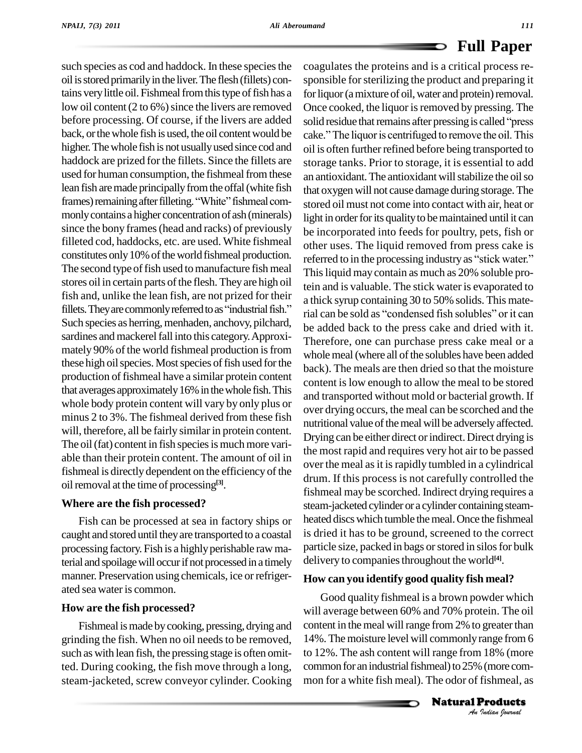such species as cod and haddock. In these species the oil isstoredprimarilyin the liver.The flesh (fillets) contains very little oil. Fishmeal from this type of fish has a low oil content  $(2 \text{ to } 6\%)$  since the livers are removed higher. The whole fish is not usually used since cod and haddock are prized for the fillets. Since the fillets are used for human consumption, the fishmeal from these lean fish are made principally from the offal (white fish  $_{\text{that ox}}$ used for human consumption, the fishmeal from these an a<br>lean fish are made principally from the offal (white fish that<br>frames) remaining after filleting. "White" fishmeal commonlycontains a higher concentration of ash(minerals) since the bony frames (head and racks) of previously filleted cod, haddocks, etc. are used. White fishmeal The second type of fish used to manufacture fish meal stores oil in certain parts of the flesh. They are high oil<br>fish and, unlike the lean fish, are not prized for their<br>fillets. They are commonly referred to as "industrial fish." fish and, unlike the lean fish, are not prized for their Such species as herring, menhaden, anchovy, pilchard, sardines and mackerel fall into this category. Approximately 90% of the world fishmeal production is from these high oil species. Most species of fish used for the production of fishmeal have a similar protein content that averages approximately 16% in the whole fish. This whole body protein content will vary by only plus or minus 2 to 3%. The fishmeal derived from these fish will, therefore, all be fairly similar in protein content. The oil (fat) content in fish species is much more variable than their protein content. The amount of oil in fishmeal is directly dependent on the efficiency of the oil removal at the time of processing<sup>[3]</sup>.

#### **Where are the fish processed?**

Fish can be processed at sea in factory ships or caught and stored until theyare transported to a coastal processing factory. Fish is a highly perishable raw material and spoilage will occur if not processed in a timely manner. Preservation using chemicals, ice orrefriger ated sea water is common.

#### **How are the fish processed?**

Fishmeal is made by cooking, pressing, drying and grinding the fish. When no oil needs to be removed, such as with lean fish, the pressing stage is often omitted. During cooking, the fish move through a long, steam-jacketed, screw conveyor cylinder. Cooking

before processing. Of course, if the livers are added solid residue that remains after pressing is called "press back, or the whole fish is used, the oil content would be cake." The liquor is centrifuged to remove the oil. This constitutes only 10% of the world fishmeal production. referred to in the processing industry as "stick water." coagulates the proteins and is a critical process re sponsible for sterilizing the product and preparing it for liquor (a mixture of oil, water and protein) removal.<br>Once cooked, the liquor is removed by pressing. The<br>solid residue that remains after pressing is called ''press Once cooked, the liquor is removed by pressing. The<br>solid residue that remains after pressing is called "press<br>cake." The liquor is centrifuged to remove the oil. This oil is often further refined before being transported to storage tanks. Prior to storage, it is essential to add an antioxidant. The antioxidant will stabilize the oil so that oxygenwill not cause damage during storage.The stored oil must not come into contact with air, heat or light in order for its quality to be maintained until it can be incorporated into feeds for poultry, pets, fish or other uses. The liquid removed from press cake is be incorporated into feeds for poultry, pets, fish or<br>other uses. The liquid removed from press cake is<br>referred to in the processing industry as "stick water." Thisliquid may contain as much as 20% soluble protein and is valuable. The stick water is evaporated to a thick syrup containing 30 to 50% solids. This material can be sold as "condensed fish solubles" or it can be added back to the press cake and dried with it. Therefore, one can purchase press cake meal or a whole meal (where all of the solubles have been added back). The meals are then dried so that the moisture content islow enough to allow the meal to be stored and transported without mold or bacterial growth. If over drying occurs, the meal can be scorched and the nutritional value of the meal will be adversely affected. Drying can be either direct or indirect. Direct drying is the most rapid and requires very hot air to be passed over the meal as it is rapidly tumbled in a cylindrical drum. If this process is not carefully controlled the fishmeal may be scorched. Indirect drying requires a steam-jacketed cylinder or a cylinder containing steamheated discs which tumble the meal. Once the fishmeal is dried it has to be ground, screened to the correct particle size, packed in bags or stored in silos for bulk delivery to companiesthroughout the world **[4]**.

#### **How can you identify good quality fish meal?**

14%. The moisture level will commonly range from 6<br>
to 12%. The ash content will range from 18% (more<br>
common for an industrial fishmeal) to 25% (more com-<br>
mon for a white fish meal). The odor of fishmeal, as<br> **Natural Pr** Good quality fishmeal is a brown powder which will average between 60% and 70% protein. The oil content in the meal will range from 2% to greater than to 12%. The ash content will range from 18% (more common for an industrial fishmeal) to 25% (more common for a white fish meal). The odor of fishmeal, as

Natural Products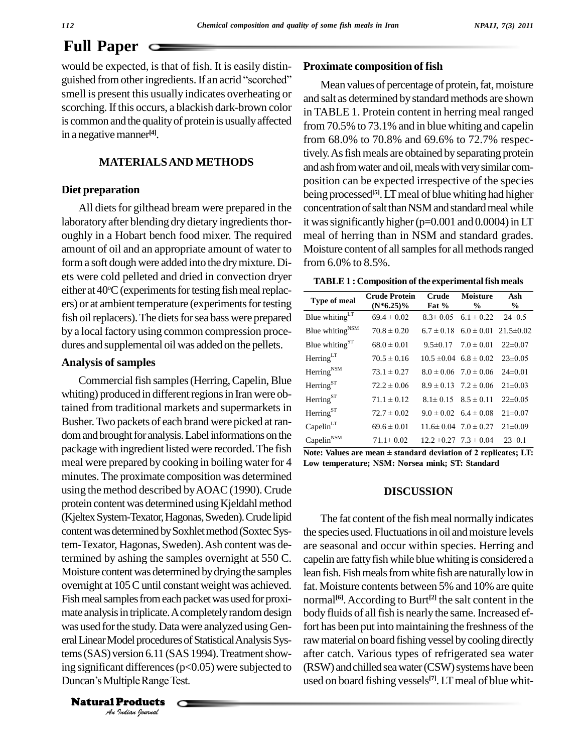# **Full Paper**

would be expected, is that of fish. It is easily distin guished from other ingredients. If an acrid "scorched" smell is present this usually indicates overheating or scorching. If this occurs, a blackish dark-brown color is common and the quality of protein is usually affected in a negative manner<sup>[4]</sup>.

#### **MATERIALSAND METHODS**

#### **Diet preparation**

All diets for gilthead bream were prepared in the laboratory after blending dry dietary ingredients thoroughly in a Hobart bench food mixer. The required amount of oil and an appropriate amount of water to form a soft dough were added into the dry mixture. Diets were cold pelleted and dried in convection dryer either at 40°C (experiments for testing fish meal replacers) or at ambient temperature (experiments for testing fish oil replacers). The diets for sea bass were prepared by a local factory using common compression proce dures and supplemental oil was added on the pellets.

#### **Analysis of samples**

was used for the study. Data were analyzed using Gen-<br>fort *Indian Journal Indian*<br> *Indian Indian*<br> *Indian Indian*<br> *Indian*<br> *Indian*<br> *Indian*<br> *Indian*<br> *Indian*<br> *Indian*<br> *Indian*<br> *Indian*<br> *Indian*<br> *Indian*<br> *Indian*<br> *Indian*<br> *Indian*<br> *Indian* Commercial fish samples (Herring, Capelin, Blue whiting) produced in different regions in Iran were obtained from traditional markets and supermarkets in Busher.Two packets of each brand were picked atran dom and brought for analysis. Label informations on the package with ingredient listed were recorded.The fish meal were prepared by cooking in boiling water for 4 minutes. The proximate composition was determined using the method described byAOAC(1990). Crude protein content was determined using Kjeldahl method (KjeltexSystem-Texator,Hagonas,Sweden).Crudelipid content was determined by Soxhlet method (Soxtec System-Texator, Hagonas, Sweden).Ash content was determined by ashing the samples overnight at 550 C. Moisture content was determined by drying the samples overnight at 105 C until constant weight was achieved. Fish meal samples from each packet was used for proximate analysis in triplicate. A completely random design tems (SAS) version 6.11 (SAS 1994). Treatment show-<br>ing significant differences (p<0.05) were subjected to<br>Duncan's Multiple Range Test. ing significant differences ( $p<0.05$ ) were subjected to

**Natural Products** 

#### **Proximate composition of fish**

Mean values of percentage of protein, fat, moisture and salt as determined by standard methods are shown in TABLE 1. Protein content in herring meal ranged from 70.5% to 73.1% and inblue whiting and capelin from 68.0% to 70.8% and 69.6% to 72.7% respectively. As fish meals are obtained by separating protein and ash from water and oil, meals with very similar composition can be expected irrespective of the species being processed **[5]**.LTmeal of blue whiting had higher concentration of salt than NSM and standard meal while it was significantly higher ( $p=0.001$  and  $0.0004$ ) in LT meal of herring than in NSM and standard grades. Moisture content of all samples for all methods ranged from 6.0% to 8.5%.

|  |  |  | TABLE 1 : Composition of the experimental fish meals |  |
|--|--|--|------------------------------------------------------|--|
|--|--|--|------------------------------------------------------|--|

| <b>Type of meal</b>          | <b>Crude Protein</b><br>$(N*6.25)\%$ | Crude<br>Fat % | Moisture<br>$\%$                              | Ash<br>$\%$   |
|------------------------------|--------------------------------------|----------------|-----------------------------------------------|---------------|
| Blue whiting <sup>LT</sup>   | $69.4 \pm 0.02$                      |                | $8.3 \pm 0.05$ $6.1 \pm 0.22$                 | $24\pm0.5$    |
| Blue whiting $_{\text{NSM}}$ | $70.8 \pm 0.20$                      |                | $6.7 \pm 0.18$ $6.0 \pm 0.01$ $21.5 \pm 0.02$ |               |
| Blue whiting <sup>ST</sup>   | $68.0 \pm 0.01$                      |                | $9.5\pm0.17$ $7.0\pm0.01$                     | $22\pm0.07$   |
| Herring <sup>LT</sup>        | $70.5 \pm 0.16$                      |                | $10.5 \pm 0.04$ $6.8 \pm 0.02$ $23 \pm 0.05$  |               |
| Herring <sup>NSM</sup>       | $73.1 \pm 0.27$                      |                | $8.0 \pm 0.06$ 7.0 $\pm$ 0.06                 | $24\pm0.01$   |
| Herring <sup>ST</sup>        | $72.2 \pm 0.06$                      |                | $8.9 \pm 0.13$ $7.2 \pm 0.06$                 | $21 \pm 0.03$ |
| Herring <sup>ST</sup>        | $71.1 \pm 0.12$                      |                | $8.1 \pm 0.15$ $8.5 \pm 0.11$                 | $22\pm0.05$   |
| $Herring^{ST}$               | $72.7 \pm 0.02$                      |                | $9.0 \pm 0.02$ 6.4 $\pm 0.08$                 | $21 \pm 0.07$ |
| Capelin <sup>LT</sup>        | $69.6 \pm 0.01$                      |                | $11.6 \pm 0.04$ $7.0 \pm 0.27$                | $21 \pm 0.09$ |
| $Capelin^{\text{NSM}}$       | $71.1 \pm 0.02$                      |                | $12.2 \pm 0.27$ $7.3 \pm 0.04$                | $23\pm0.1$    |

**Note: Values are mean <sup>±</sup> standard deviation of <sup>2</sup> replicates; LT: Low temperature; NSM: Norsea mink; ST: Standard**

#### **DISCUSSION**

The fat content of the fish meal normally indicates the species used. Fluctuations in oil and moisture levels are seasonal and occur within species. Herring and capelin are fatty fish while blue whiting is considered a lean fish. Fish meals from white fish are naturally low in fat. Moisture contents between 5% and 10% are quite normal **[6]**.According to Burt **[2]** the salt content in the body fluids of all fish is nearly the same. Increased effort has been put into maintaining the freshness of the raw material on board fishing vessel by cooling directly after catch. Various types of refrigerated sea water (RSW) and chilled sea water (CSW) systems have been used on board fishing vessels **[7]**. LTmeal of blue whit-